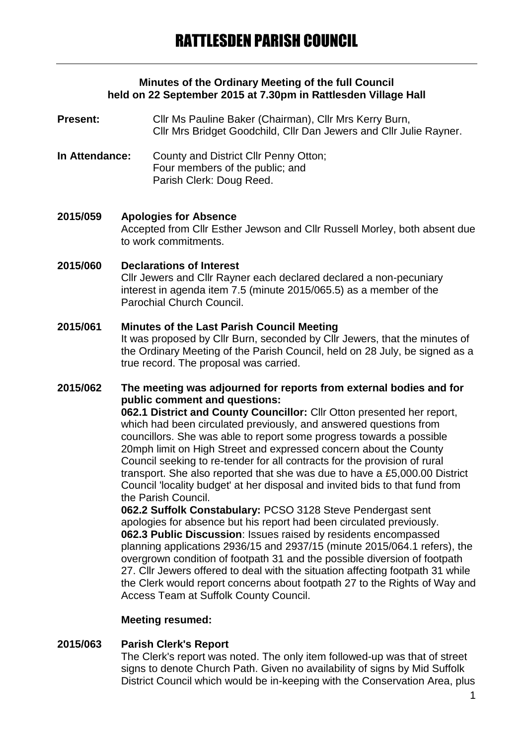### **Minutes of the Ordinary Meeting of the full Council held on 22 September 2015 at 7.30pm in Rattlesden Village Hall**

- **Present:** Cllr Ms Pauline Baker (Chairman), Cllr Mrs Kerry Burn, Cllr Mrs Bridget Goodchild, Cllr Dan Jewers and Cllr Julie Rayner.
- **In Attendance:** County and District Cllr Penny Otton; Four members of the public; and Parish Clerk: Doug Reed.

**2015/059 Apologies for Absence** Accepted from Cllr Esther Jewson and Cllr Russell Morley, both absent due to work commitments.

#### **2015/060 Declarations of Interest** Cllr Jewers and Cllr Rayner each declared declared a non-pecuniary interest in agenda item 7.5 (minute 2015/065.5) as a member of the Parochial Church Council.

## **2015/061 Minutes of the Last Parish Council Meeting**

It was proposed by Cllr Burn, seconded by Cllr Jewers, that the minutes of the Ordinary Meeting of the Parish Council, held on 28 July, be signed as a true record. The proposal was carried.

### **2015/062 The meeting was adjourned for reports from external bodies and for public comment and questions:**

**062.1 District and County Councillor:** Cllr Otton presented her report, which had been circulated previously, and answered questions from councillors. She was able to report some progress towards a possible 20mph limit on High Street and expressed concern about the County Council seeking to re-tender for all contracts for the provision of rural transport. She also reported that she was due to have a £5,000.00 District Council 'locality budget' at her disposal and invited bids to that fund from the Parish Council.

**062.2 Suffolk Constabulary:** PCSO 3128 Steve Pendergast sent apologies for absence but his report had been circulated previously. **062.3 Public Discussion**: Issues raised by residents encompassed planning applications 2936/15 and 2937/15 (minute 2015/064.1 refers), the overgrown condition of footpath 31 and the possible diversion of footpath 27. Cllr Jewers offered to deal with the situation affecting footpath 31 while the Clerk would report concerns about footpath 27 to the Rights of Way and Access Team at Suffolk County Council.

#### **Meeting resumed:**

## **2015/063 Parish Clerk's Report**

The Clerk's report was noted. The only item followed-up was that of street signs to denote Church Path. Given no availability of signs by Mid Suffolk District Council which would be in-keeping with the Conservation Area, plus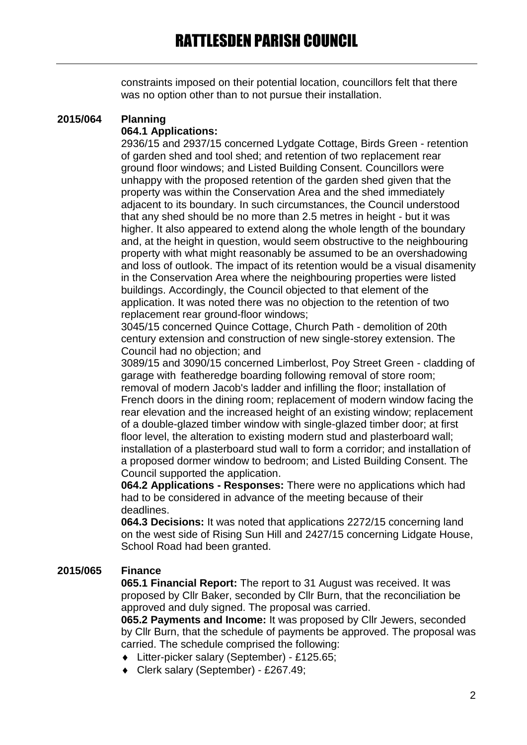constraints imposed on their potential location, councillors felt that there was no option other than to not pursue their installation.

# **2015/064 Planning**

## **064.1 Applications:**

2936/15 and 2937/15 concerned Lydgate Cottage, Birds Green - retention of garden shed and tool shed; and retention of two replacement rear ground floor windows; and Listed Building Consent. Councillors were unhappy with the proposed retention of the garden shed given that the property was within the Conservation Area and the shed immediately adjacent to its boundary. In such circumstances, the Council understood that any shed should be no more than 2.5 metres in height - but it was higher. It also appeared to extend along the whole length of the boundary and, at the height in question, would seem obstructive to the neighbouring property with what might reasonably be assumed to be an overshadowing and loss of outlook. The impact of its retention would be a visual disamenity in the Conservation Area where the neighbouring properties were listed buildings. Accordingly, the Council objected to that element of the application. It was noted there was no objection to the retention of two replacement rear ground-floor windows;

3045/15 concerned Quince Cottage, Church Path - demolition of 20th century extension and construction of new single-storey extension. The Council had no objection; and

3089/15 and 3090/15 concerned Limberlost, Poy Street Green - cladding of garage with featheredge boarding following removal of store room; removal of modern Jacob's ladder and infilling the floor; installation of French doors in the dining room; replacement of modern window facing the rear elevation and the increased height of an existing window; replacement of a double-glazed timber window with single-glazed timber door; at first floor level, the alteration to existing modern stud and plasterboard wall; installation of a plasterboard stud wall to form a corridor; and installation of a proposed dormer window to bedroom; and Listed Building Consent. The Council supported the application.

**064.2 Applications - Responses:** There were no applications which had had to be considered in advance of the meeting because of their deadlines.

**064.3 Decisions:** It was noted that applications 2272/15 concerning land on the west side of Rising Sun Hill and 2427/15 concerning Lidgate House, School Road had been granted.

## **2015/065 Finance**

**065.1 Financial Report:** The report to 31 August was received. It was proposed by Cllr Baker, seconded by Cllr Burn, that the reconciliation be approved and duly signed. The proposal was carried.

**065.2 Payments and Income:** It was proposed by Cllr Jewers, seconded by Cllr Burn, that the schedule of payments be approved. The proposal was carried. The schedule comprised the following:

- Litter-picker salary (September) £125.65;
- Clerk salary (September) £267.49;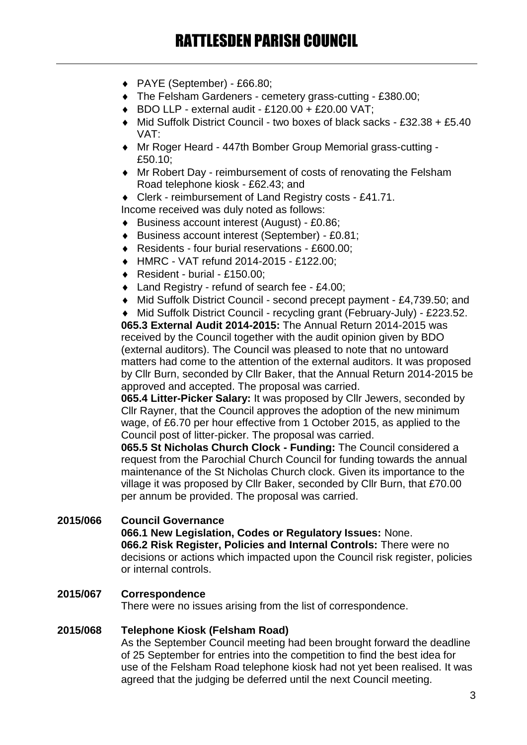- PAYE (September) £66.80;
- The Felsham Gardeners cemetery grass-cutting £380.00;
- $\bullet$  BDO LLP external audit £120.00 + £20.00 VAT;
- Mid Suffolk District Council two boxes of black sacks £32.38 + £5.40 VAT:
- Mr Roger Heard 447th Bomber Group Memorial grass-cutting £50.10;
- Mr Robert Day reimbursement of costs of renovating the Felsham Road telephone kiosk - £62.43; and
- ◆ Clerk reimbursement of Land Registry costs £41.71.
- Income received was duly noted as follows:
- Business account interest (August) £0.86;
- Business account interest (September) £0.81;
- ◆ Residents four burial reservations £600.00:
- HMRC VAT refund 2014-2015 £122.00;
- ◆ Resident burial £150.00;
- ◆ Land Registry refund of search fee £4.00:
- Mid Suffolk District Council second precept payment £4,739.50; and

 Mid Suffolk District Council - recycling grant (February-July) - £223.52. **065.3 External Audit 2014-2015:** The Annual Return 2014-2015 was received by the Council together with the audit opinion given by BDO (external auditors). The Council was pleased to note that no untoward matters had come to the attention of the external auditors. It was proposed by Cllr Burn, seconded by Cllr Baker, that the Annual Return 2014-2015 be

approved and accepted. The proposal was carried.

**065.4 Litter-Picker Salary:** It was proposed by Cllr Jewers, seconded by Cllr Rayner, that the Council approves the adoption of the new minimum wage, of £6.70 per hour effective from 1 October 2015, as applied to the Council post of litter-picker. The proposal was carried.

**065.5 St Nicholas Church Clock - Funding:** The Council considered a request from the Parochial Church Council for funding towards the annual maintenance of the St Nicholas Church clock. Given its importance to the village it was proposed by Cllr Baker, seconded by Cllr Burn, that £70.00 per annum be provided. The proposal was carried.

#### **2015/066 Council Governance 066.1 New Legislation, Codes or Regulatory Issues:** None. **066.2 Risk Register, Policies and Internal Controls:** There were no decisions or actions which impacted upon the Council risk register, policies or internal controls.

## **2015/067 Correspondence**

There were no issues arising from the list of correspondence.

## **2015/068 Telephone Kiosk (Felsham Road)**

As the September Council meeting had been brought forward the deadline of 25 September for entries into the competition to find the best idea for use of the Felsham Road telephone kiosk had not yet been realised. It was agreed that the judging be deferred until the next Council meeting.